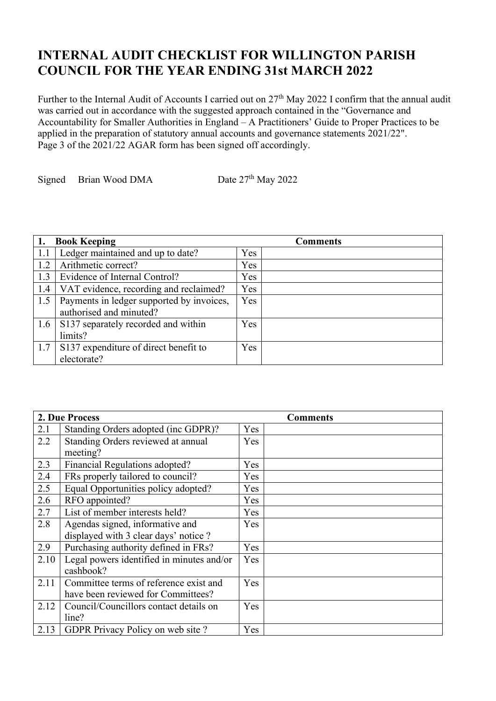## **INTERNAL AUDIT CHECKLIST FOR WILLINGTON PARISH COUNCIL FOR THE YEAR ENDING 31st MARCH 2022**

Further to the Internal Audit of Accounts I carried out on 27<sup>th</sup> May 2022 I confirm that the annual audit was carried out in accordance with the suggested approach contained in the "Governance and Accountability for Smaller Authorities in England – A Practitioners' Guide to Proper Practices to be applied in the preparation of statutory annual accounts and governance statements 2021/22". Page 3 of the 2021/22 AGAR form has been signed off accordingly.

Signed Brian Wood DMA Date  $27<sup>th</sup>$  May 2022

|      | <b>Book Keeping</b>                       |     | <b>Comments</b> |
|------|-------------------------------------------|-----|-----------------|
| -1.1 | Ledger maintained and up to date?         | Yes |                 |
| 1.2  | Arithmetic correct?                       | Yes |                 |
| 1.3  | Evidence of Internal Control?             | Yes |                 |
| 1.4  | VAT evidence, recording and reclaimed?    | Yes |                 |
| 1.5  | Payments in ledger supported by invoices, | Yes |                 |
|      | authorised and minuted?                   |     |                 |
| 1.6  | S137 separately recorded and within       | Yes |                 |
|      | limits?                                   |     |                 |
| 1.7  | S137 expenditure of direct benefit to     | Yes |                 |
|      | electorate?                               |     |                 |

|      | 2. Due Process                            | <b>Comments</b> |  |
|------|-------------------------------------------|-----------------|--|
| 2.1  | Standing Orders adopted (inc GDPR)?       | Yes             |  |
| 2.2  | Standing Orders reviewed at annual        | Yes             |  |
|      | meeting?                                  |                 |  |
| 2.3  | Financial Regulations adopted?            | Yes             |  |
| 2.4  | FRs properly tailored to council?         | Yes             |  |
| 2.5  | Equal Opportunities policy adopted?       | Yes             |  |
| 2.6  | RFO appointed?                            | Yes             |  |
| 2.7  | List of member interests held?            | Yes             |  |
| 2.8  | Agendas signed, informative and           | Yes             |  |
|      | displayed with 3 clear days' notice ?     |                 |  |
| 2.9  | Purchasing authority defined in FRs?      | Yes             |  |
| 2.10 | Legal powers identified in minutes and/or | Yes             |  |
|      | cashbook?                                 |                 |  |
| 2.11 | Committee terms of reference exist and    | Yes             |  |
|      | have been reviewed for Committees?        |                 |  |
| 2.12 | Council/Councillors contact details on    | Yes             |  |
|      | line?                                     |                 |  |
| 2.13 | GDPR Privacy Policy on web site?          | Yes             |  |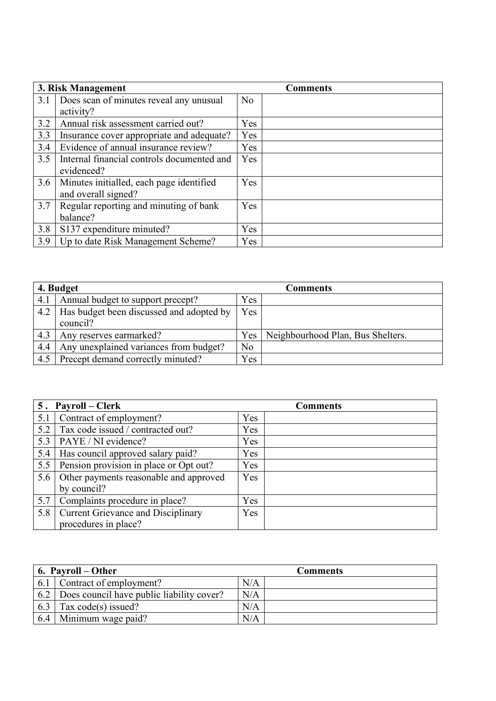|     | 3. Risk Management                         |            | <b>Comments</b> |
|-----|--------------------------------------------|------------|-----------------|
| 3.1 | Does scan of minutes reveal any unusual    | No         |                 |
|     | activity?                                  |            |                 |
| 3.2 | Annual risk assessment carried out?        | Yes        |                 |
| 3.3 | Insurance cover appropriate and adequate?  | Yes        |                 |
| 3.4 | Evidence of annual insurance review?       | Yes        |                 |
| 3.5 | Internal financial controls documented and | <b>Yes</b> |                 |
|     | evidenced?                                 |            |                 |
| 3.6 | Minutes initialled, each page identified   | <b>Yes</b> |                 |
|     | and overall signed?                        |            |                 |
| 3.7 | Regular reporting and minuting of bank     | Yes        |                 |
|     | balance?                                   |            |                 |
| 3.8 | S137 expenditure minuted?                  | Yes        |                 |
| 3.9 | Up to date Risk Management Scheme?         | Yes        |                 |

| 4. Budget |                                          |                | Comments                          |
|-----------|------------------------------------------|----------------|-----------------------------------|
| 4.1       | Annual budget to support precept?        | Yes            |                                   |
| 4.2       | Has budget been discussed and adopted by | Yes            |                                   |
|           | council?                                 |                |                                   |
| 4.3       | Any reserves earmarked?                  | Yes            | Neighbourhood Plan, Bus Shelters. |
| 4.4       | Any unexplained variances from budget?   | N <sub>o</sub> |                                   |
| 4.5       | Precept demand correctly minuted?        | Yes            |                                   |

|     | 5. Payroll – Clerk                        | <b>Comments</b> |
|-----|-------------------------------------------|-----------------|
| 5.1 | Contract of employment?                   | Yes             |
| 5.2 | Tax code issued / contracted out?         | Yes             |
| 5.3 | PAYE / NI evidence?                       | Yes             |
| 5.4 | Has council approved salary paid?         | Yes             |
| 5.5 | Pension provision in place or Opt out?    | Yes             |
| 5.6 | Other payments reasonable and approved    | Yes             |
|     | by council?                               |                 |
| 5.7 | Complaints procedure in place?            | Yes             |
| 5.8 | <b>Current Grievance and Disciplinary</b> | Yes             |
|     | procedures in place?                      |                 |

|     | $\vert$ 6. Payroll – Other                                    | <b>Comments</b> |  |
|-----|---------------------------------------------------------------|-----------------|--|
| 6.1 | Contract of employment?                                       | N/A             |  |
|     | $\vert$ 6.2 $\vert$ Does council have public liability cover? | N/A             |  |
| 6.3 | Tax $code(s)$ issued?                                         | N/A             |  |
| 6.4 | Minimum wage paid?                                            | N/A             |  |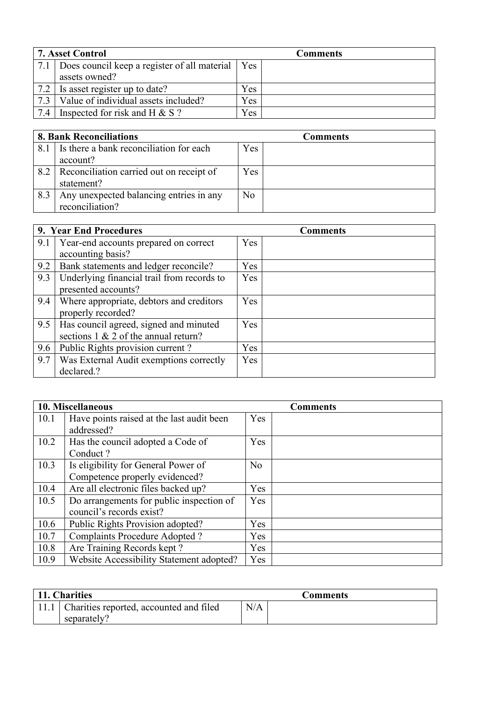| <b>7. Asset Control</b> |                                                    | <b>Comments</b> |  |
|-------------------------|----------------------------------------------------|-----------------|--|
| 7.1                     | Does council keep a register of all material   Yes |                 |  |
|                         | assets owned?                                      |                 |  |
| 7.2                     | Is asset register up to date?                      | Yes             |  |
| 7.3                     | Value of individual assets included?               | Yes             |  |
| 7.4                     | Inspected for risk and H $& S$ ?                   | Yes             |  |

| <b>8. Bank Reconciliations</b> |                                          | <b>Comments</b> |  |
|--------------------------------|------------------------------------------|-----------------|--|
| 8.1                            | Is there a bank reconciliation for each  | Yes             |  |
|                                | account?                                 |                 |  |
| 8.2                            | Reconciliation carried out on receipt of | Yes             |  |
|                                | statement?                               |                 |  |
| 8.3                            | Any unexpected balancing entries in any  | N <sub>o</sub>  |  |
|                                | reconciliation?                          |                 |  |

|     | 9. Year End Procedures                                                            | <b>Comments</b> |
|-----|-----------------------------------------------------------------------------------|-----------------|
| 9.1 | Year-end accounts prepared on correct<br>accounting basis?                        | Yes             |
| 9.2 | Bank statements and ledger reconcile?                                             | Yes             |
| 9.3 | Underlying financial trail from records to<br>presented accounts?                 | Yes             |
| 9.4 | Where appropriate, debtors and creditors<br>properly recorded?                    | Yes             |
| 9.5 | Has council agreed, signed and minuted<br>sections $1 \& 2$ of the annual return? | Yes             |
| 9.6 | Public Rights provision current?                                                  | <b>Yes</b>      |
| 9.7 | Was External Audit exemptions correctly<br>declared.?                             | Yes             |

|      | 10. Miscellaneous                         |                | <b>Comments</b> |
|------|-------------------------------------------|----------------|-----------------|
| 10.1 | Have points raised at the last audit been | Yes            |                 |
|      | addressed?                                |                |                 |
| 10.2 | Has the council adopted a Code of         | Yes            |                 |
|      | Conduct?                                  |                |                 |
| 10.3 | Is eligibility for General Power of       | N <sub>o</sub> |                 |
|      | Competence properly evidenced?            |                |                 |
| 10.4 | Are all electronic files backed up?       | <b>Yes</b>     |                 |
| 10.5 | Do arrangements for public inspection of  | Yes            |                 |
|      | council's records exist?                  |                |                 |
| 10.6 | Public Rights Provision adopted?          | Yes            |                 |
| 10.7 | <b>Complaints Procedure Adopted?</b>      | Yes            |                 |
| 10.8 | Are Training Records kept?                | Yes            |                 |
| 10.9 | Website Accessibility Statement adopted?  | <b>Yes</b>     |                 |

| 11. Charities                                  |     | Comments |
|------------------------------------------------|-----|----------|
| 11.1   Charities reported, accounted and filed | N/A |          |
| separately?                                    |     |          |